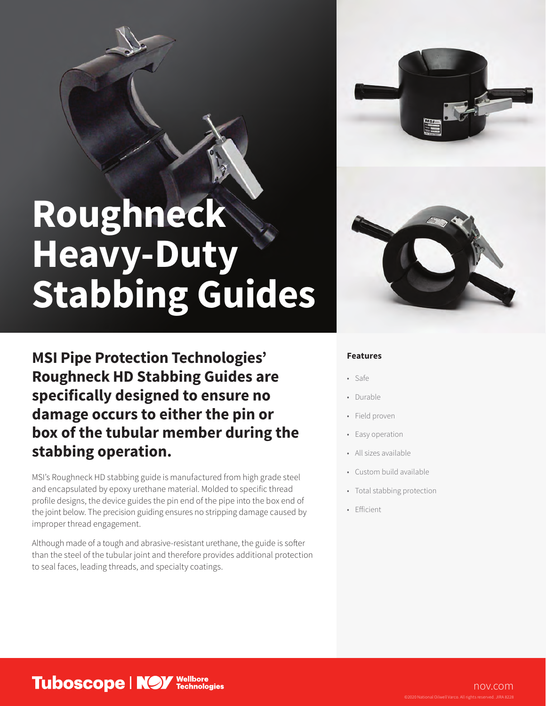## **Roughneck Heavy-Duty Stabbing Guides**

**MSI Pipe Protection Technologies' Roughneck HD Stabbing Guides are specifically designed to ensure no damage occurs to either the pin or box of the tubular member during the stabbing operation.**

MSI's Roughneck HD stabbing guide is manufactured from high grade steel and encapsulated by epoxy urethane material. Molded to specific thread profile designs, the device guides the pin end of the pipe into the box end of the joint below. The precision guiding ensures no stripping damage caused by improper thread engagement.

Although made of a tough and abrasive-resistant urethane, the guide is softer than the steel of the tubular joint and therefore provides additional protection to seal faces, leading threads, and specialty coatings.

## **Features**

- Safe
- Durable
- Field proven
- Easy operation
- All sizes available
- Custom build available
- Total stabbing protection
- Efficient